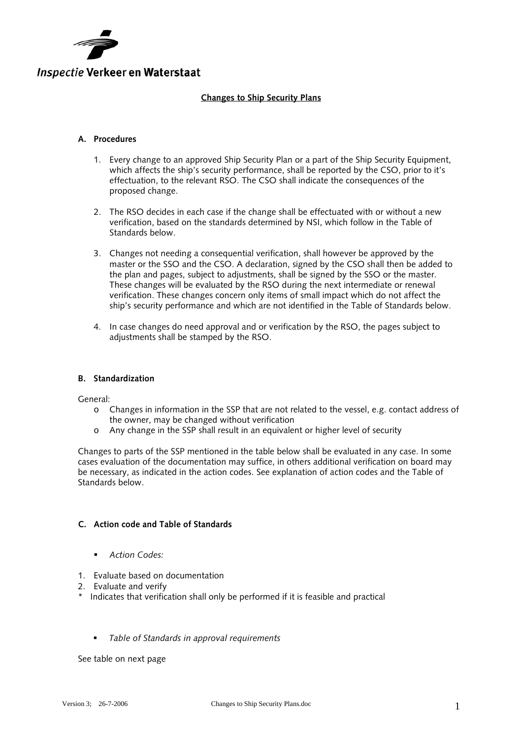

### **Changes to Ship Security Plans**

#### **A. Procedures**

- 1. Every change to an approved Ship Security Plan or a part of the Ship Security Equipment, which affects the ship's security performance, shall be reported by the CSO, prior to it's effectuation, to the relevant RSO. The CSO shall indicate the consequences of the proposed change.
- 2. The RSO decides in each case if the change shall be effectuated with or without a new verification, based on the standards determined by NSI, which follow in the Table of Standards below.
- 3. Changes not needing a consequential verification, shall however be approved by the master or the SSO and the CSO. A declaration, signed by the CSO shall then be added to the plan and pages, subject to adjustments, shall be signed by the SSO or the master. These changes will be evaluated by the RSO during the next intermediate or renewal verification. These changes concern only items of small impact which do not affect the ship's security performance and which are not identified in the Table of Standards below.
- 4. In case changes do need approval and or verification by the RSO, the pages subject to adjustments shall be stamped by the RSO.

#### **B. Standardization**

General:

- o Changes in information in the SSP that are not related to the vessel, e.g. contact address of the owner, may be changed without verification
- o Any change in the SSP shall result in an equivalent or higher level of security

Changes to parts of the SSP mentioned in the table below shall be evaluated in any case. In some cases evaluation of the documentation may suffice, in others additional verification on board may be necessary, as indicated in the action codes. See explanation of action codes and the Table of Standards below.

## **C. Action code and Table of Standards**

- *Action Codes:*
- 1. Evaluate based on documentation
- 2. Evaluate and verify
- \* Indicates that verification shall only be performed if it is feasible and practical
	- *Table of Standards in approval requirements*

See table on next page